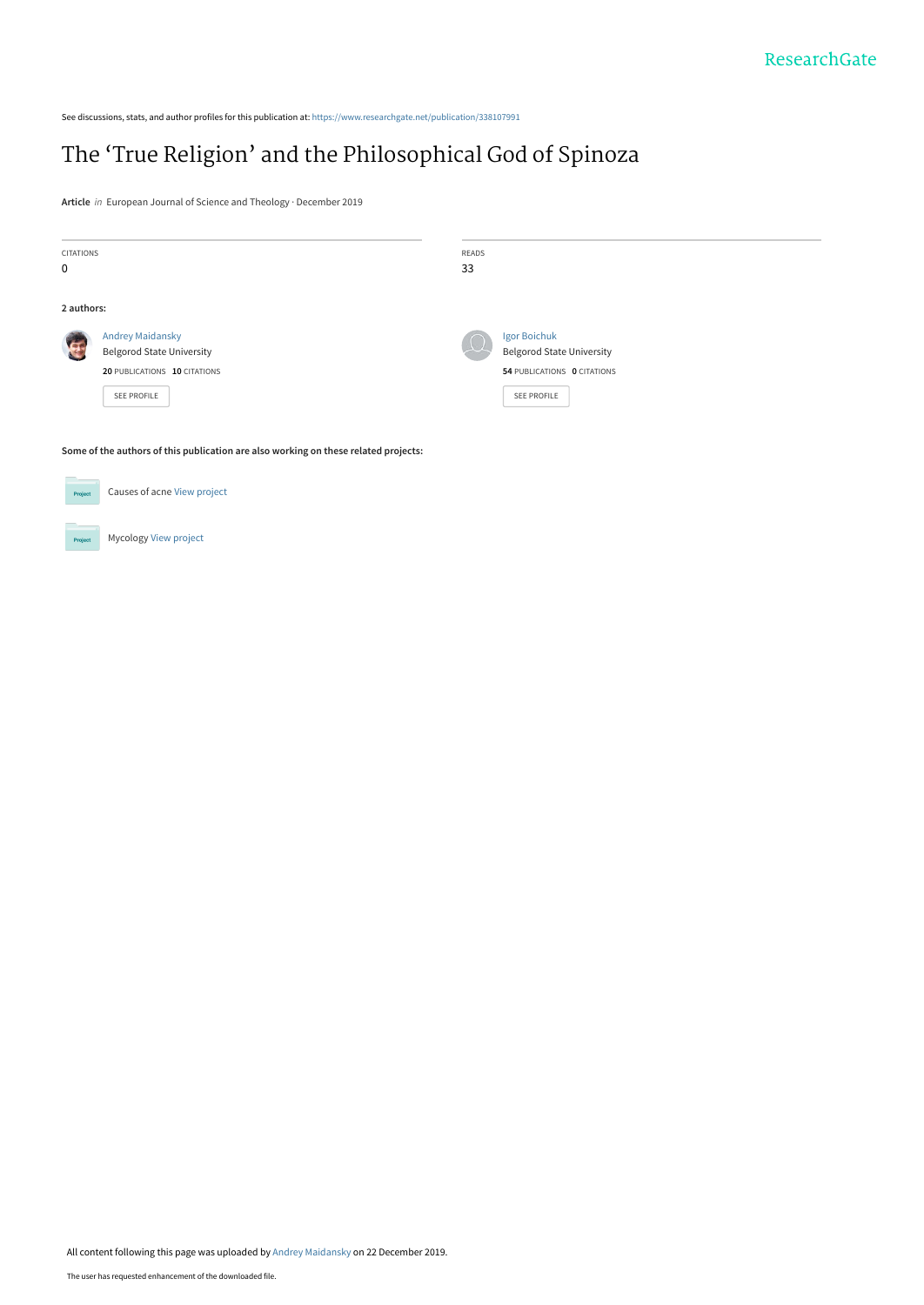See discussions, stats, and author profiles for this publication at: [https://www.researchgate.net/publication/338107991](https://www.researchgate.net/publication/338107991_The_%27True_Religion%27_and_the_Philosophical_God_of_Spinoza?enrichId=rgreq-9624f69a1db56902379e1d7844135844-XXX&enrichSource=Y292ZXJQYWdlOzMzODEwNzk5MTtBUzo4Mzg3OTQ5MjAwNjcwNzJAMTU3Njk5NTcwMTgwNg%3D%3D&el=1_x_2&_esc=publicationCoverPdf)

## [The 'True Religion' and the Philosophical God of Spinoza](https://www.researchgate.net/publication/338107991_The_%27True_Religion%27_and_the_Philosophical_God_of_Spinoza?enrichId=rgreq-9624f69a1db56902379e1d7844135844-XXX&enrichSource=Y292ZXJQYWdlOzMzODEwNzk5MTtBUzo4Mzg3OTQ5MjAwNjcwNzJAMTU3Njk5NTcwMTgwNg%3D%3D&el=1_x_3&_esc=publicationCoverPdf)

**Article** in European Journal of Science and Theology · December 2019

| CITATIONS<br>$\mathbf 0$ |                                                                                                                   | READS<br>33 |                                                                                                |
|--------------------------|-------------------------------------------------------------------------------------------------------------------|-------------|------------------------------------------------------------------------------------------------|
| 2 authors:               |                                                                                                                   |             |                                                                                                |
|                          | <b>Andrey Maidansky</b><br><b>Belgorod State University</b><br>20 PUBLICATIONS 10 CITATIONS<br><b>SEE PROFILE</b> |             | Igor Boichuk<br><b>Belgorod State University</b><br>54 PUBLICATIONS 0 CITATIONS<br>SEE PROFILE |

**Some of the authors of this publication are also working on these related projects:**

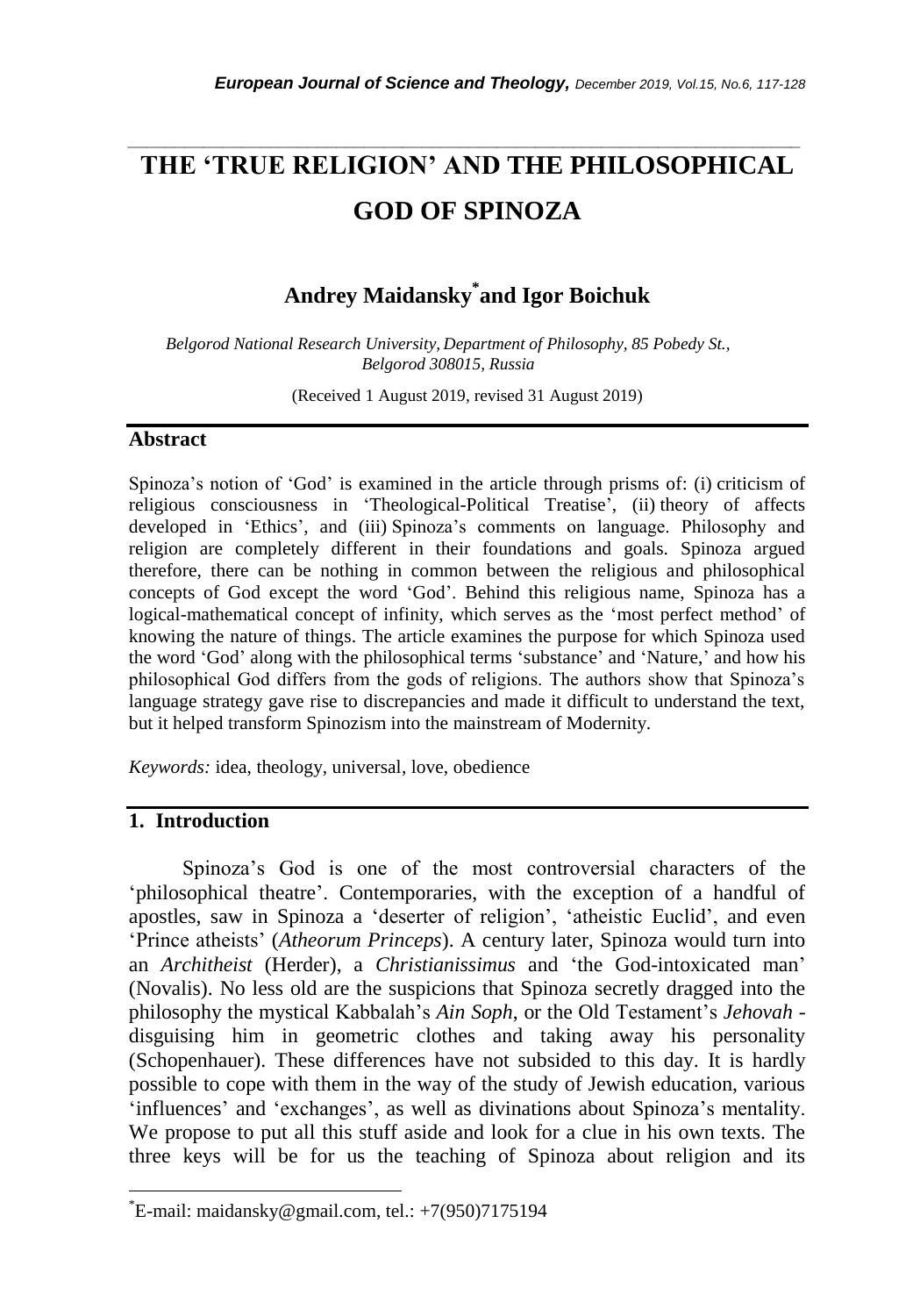# **THE 'TRUE RELIGION' AND THE PHILOSOPHICAL GOD OF SPINOZA**

*\_\_\_\_\_\_\_\_\_\_\_\_\_\_\_\_\_\_\_\_\_\_\_\_\_\_\_\_\_\_\_\_\_\_\_\_\_\_\_\_\_\_\_\_\_\_\_\_\_\_\_\_\_\_\_\_\_\_\_\_\_\_\_\_\_\_\_\_\_\_\_*

### **Andrey Maidansky\* and Igor Boichuk**

*Belgorod National Research University, Department of Philosophy, 85 Pobedy St., Belgorod 308015, Russia*

(Received 1 August 2019, revised 31 August 2019)

#### **Abstract**

Spinoza"s notion of "God" is examined in the article through prisms of: (i) criticism of religious consciousness in 'Theological-Political Treatise', (ii) theory of affects developed in 'Ethics', and (iii) Spinoza's comments on language. Philosophy and religion are completely different in their foundations and goals. Spinoza argued therefore, there can be nothing in common between the religious and philosophical concepts of God except the word "God". Behind this religious name, Spinoza has a logical-mathematical concept of infinity, which serves as the "most perfect method" of knowing the nature of things. The article examines the purpose for which Spinoza used the word "God" along with the philosophical terms "substance" and "Nature," and how his philosophical God differs from the gods of religions. The authors show that Spinoza"s language strategy gave rise to discrepancies and made it difficult to understand the text, but it helped transform Spinozism into the mainstream of Modernity.

*Keywords:* idea, theology, universal, love, obedience

### **1. Introduction**

l

Spinoza"s God is one of the most controversial characters of the 'philosophical theatre'. Contemporaries, with the exception of a handful of apostles, saw in Spinoza a "deserter of religion", "atheistic Euclid", and even "Prince atheists" (*Atheorum Princeps*). A century later, Spinoza would turn into an *Architheist* (Herder), a *Christianissimus* and "the God-intoxicated man" (Novalis). No less old are the suspicions that Spinoza secretly dragged into the philosophy the mystical Kabbalah"s *Ain Soph*, or the Old Testament"s *Jehovah* disguising him in geometric clothes and taking away his personality (Schopenhauer). These differences have not subsided to this day. It is hardly possible to cope with them in the way of the study of Jewish education, various 'influences' and 'exchanges', as well as divinations about Spinoza's mentality. We propose to put all this stuff aside and look for a clue in his own texts. The three keys will be for us the teaching of Spinoza about religion and its

 $E$ -mail: maidansky@gmail.com, tel.: +7(950)7175194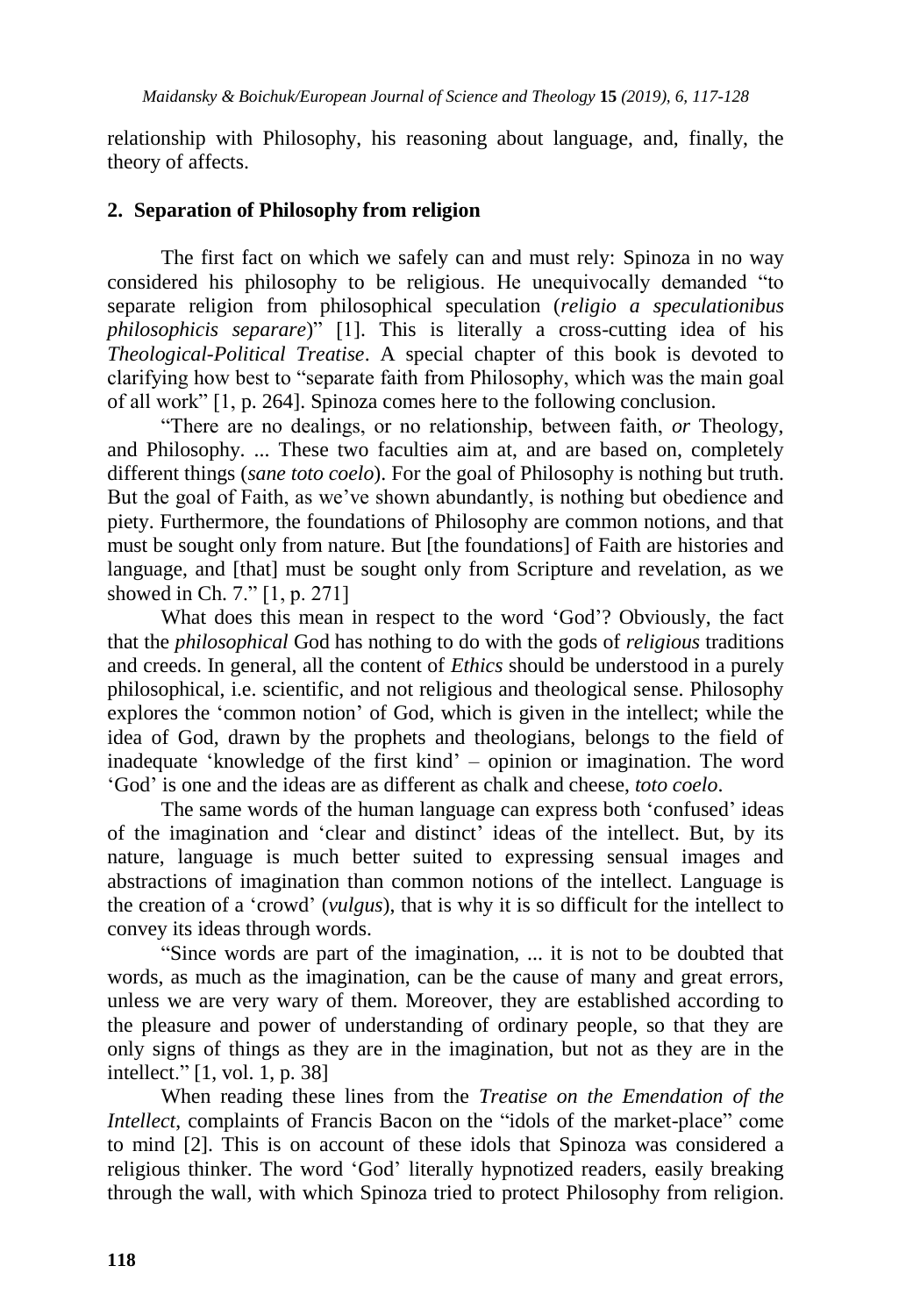relationship with Philosophy, his reasoning about language, and, finally, the theory of affects.

### **2. Separation of Philosophy from religion**

The first fact on which we safely can and must rely: Spinoza in no way considered his philosophy to be religious. He unequivocally demanded "to separate religion from philosophical speculation (*religio a speculationibus philosophicis separare*)<sup>"</sup> [1]. This is literally a cross-cutting idea of his *Theological-Political Treatise*. A special chapter of this book is devoted to clarifying how best to "separate faith from Philosophy, which was the main goal of all work" [1, p. 264]. Spinoza comes here to the following conclusion.

"There are no dealings, or no relationship, between faith, *or* Theology, and Philosophy. ... These two faculties aim at, and are based on, completely different things (*sane toto coelo*). For the goal of Philosophy is nothing but truth. But the goal of Faith, as we"ve shown abundantly, is nothing but obedience and piety. Furthermore, the foundations of Philosophy are common notions, and that must be sought only from nature. But [the foundations] of Faith are histories and language, and [that] must be sought only from Scripture and revelation, as we showed in Ch. 7." [1, p. 271]

What does this mean in respect to the word "God"? Obviously, the fact that the *philosophical* God has nothing to do with the gods of *religious* traditions and creeds. In general, all the content of *Ethics* should be understood in a purely philosophical, i.e. scientific, and not religious and theological sense. Philosophy explores the "common notion" of God, which is given in the intellect; while the idea of God, drawn by the prophets and theologians, belongs to the field of inadequate "knowledge of the first kind" – opinion or imagination. The word "God" is one and the ideas are as different as chalk and cheese, *toto coelo*.

The same words of the human language can express both "confused" ideas of the imagination and "clear and distinct" ideas of the intellect. But, by its nature, language is much better suited to expressing sensual images and abstractions of imagination than common notions of the intellect. Language is the creation of a "crowd" (*vulgus*), that is why it is so difficult for the intellect to convey its ideas through words.

"Since words are part of the imagination, ... it is not to be doubted that words, as much as the imagination, can be the cause of many and great errors, unless we are very wary of them. Moreover, they are established according to the pleasure and power of understanding of ordinary people, so that they are only signs of things as they are in the imagination, but not as they are in the intellect." [1, vol. 1, p. 38]

When reading these lines from the *Treatise on the Emendation of the Intellect*, complaints of Francis Bacon on the "idols of the market-place" come to mind [2]. This is on account of these idols that Spinoza was considered a religious thinker. The word "God" literally hypnotized readers, easily breaking through the wall, with which Spinoza tried to protect Philosophy from religion.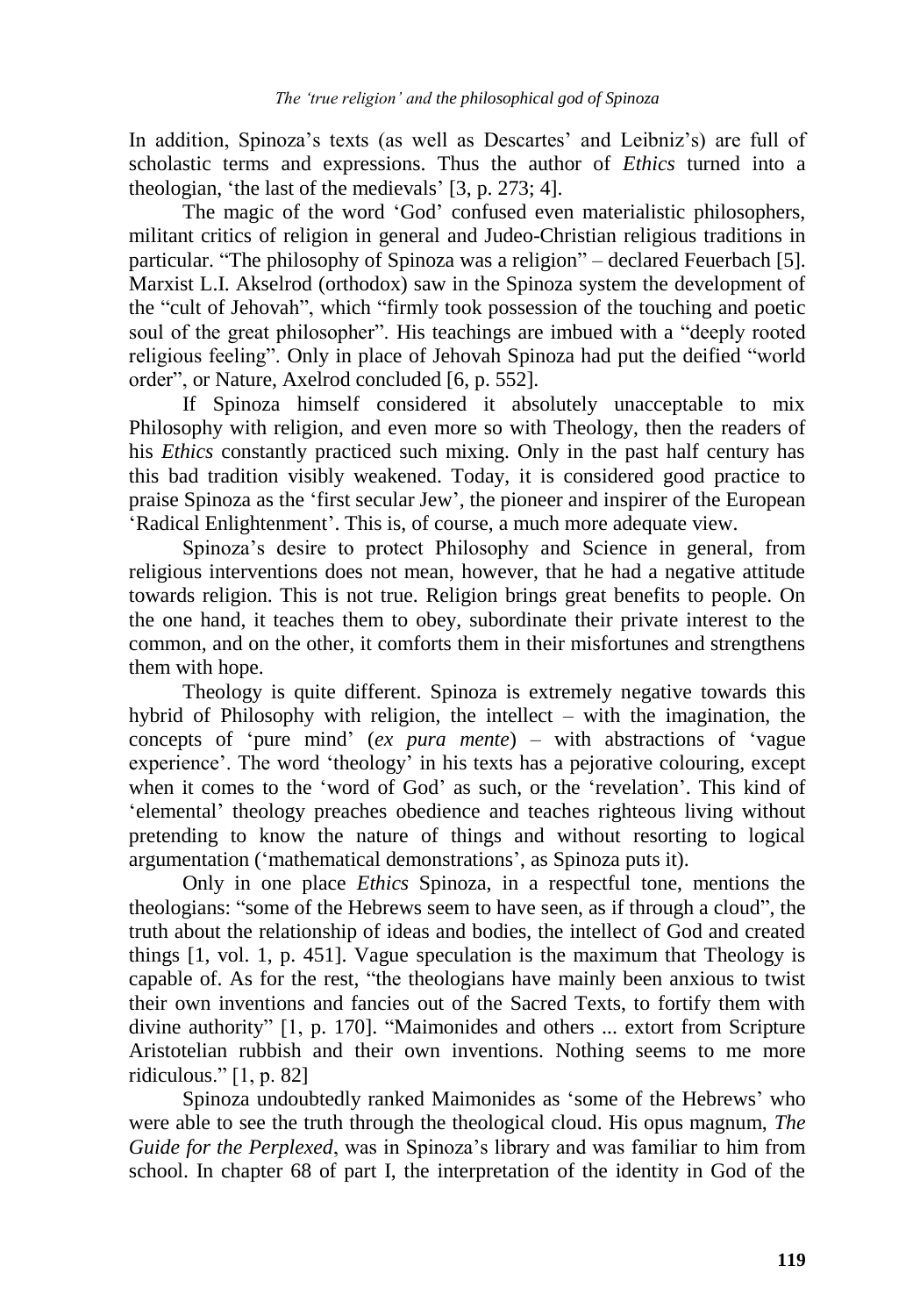In addition, Spinoza's texts (as well as Descartes' and Leibniz's) are full of scholastic terms and expressions. Thus the author of *Ethics* turned into a theologian, "the last of the medievals" [3, p. 273; 4].

The magic of the word "God" confused even materialistic philosophers, militant critics of religion in general and Judeo-Christian religious traditions in particular. "The philosophy of Spinoza was a religion" – declared Feuerbach [5]. Marxist L.I. Akselrod (orthodox) saw in the Spinoza system the development of the "cult of Jehovah", which "firmly took possession of the touching and poetic soul of the great philosopher". His teachings are imbued with a "deeply rooted religious feeling". Only in place of Jehovah Spinoza had put the deified "world order", or Nature, Axelrod concluded [6, p. 552].

If Spinoza himself considered it absolutely unacceptable to mix Philosophy with religion, and even more so with Theology, then the readers of his *Ethics* constantly practiced such mixing. Only in the past half century has this bad tradition visibly weakened. Today, it is considered good practice to praise Spinoza as the "first secular Jew", the pioneer and inspirer of the European 'Radical Enlightenment'. This is, of course, a much more adequate view.

Spinoza"s desire to protect Philosophy and Science in general, from religious interventions does not mean, however, that he had a negative attitude towards religion. This is not true. Religion brings great benefits to people. On the one hand, it teaches them to obey, subordinate their private interest to the common, and on the other, it comforts them in their misfortunes and strengthens them with hope.

Theology is quite different. Spinoza is extremely negative towards this hybrid of Philosophy with religion, the intellect – with the imagination, the concepts of "pure mind" (*ex pura mente*) – with abstractions of "vague experience'. The word 'theology' in his texts has a pejorative colouring, except when it comes to the 'word of God' as such, or the 'revelation'. This kind of "elemental" theology preaches obedience and teaches righteous living without pretending to know the nature of things and without resorting to logical argumentation ("mathematical demonstrations", as Spinoza puts it).

Only in one place *Ethics* Spinoza, in a respectful tone, mentions the theologians: "some of the Hebrews seem to have seen, as if through a cloud", the truth about the relationship of ideas and bodies, the intellect of God and created things [1, vol. 1, p. 451]. Vague speculation is the maximum that Theology is capable of. As for the rest, "the theologians have mainly been anxious to twist their own inventions and fancies out of the Sacred Texts, to fortify them with divine authority" [1, p. 170]. "Maimonides and others ... extort from Scripture Aristotelian rubbish and their own inventions. Nothing seems to me more ridiculous." [1, p. 82]

Spinoza undoubtedly ranked Maimonides as 'some of the Hebrews' who were able to see the truth through the theological cloud. His opus magnum, *The Guide for the Perplexed*, was in Spinoza"s library and was familiar to him from school. In chapter 68 of part I, the interpretation of the identity in God of the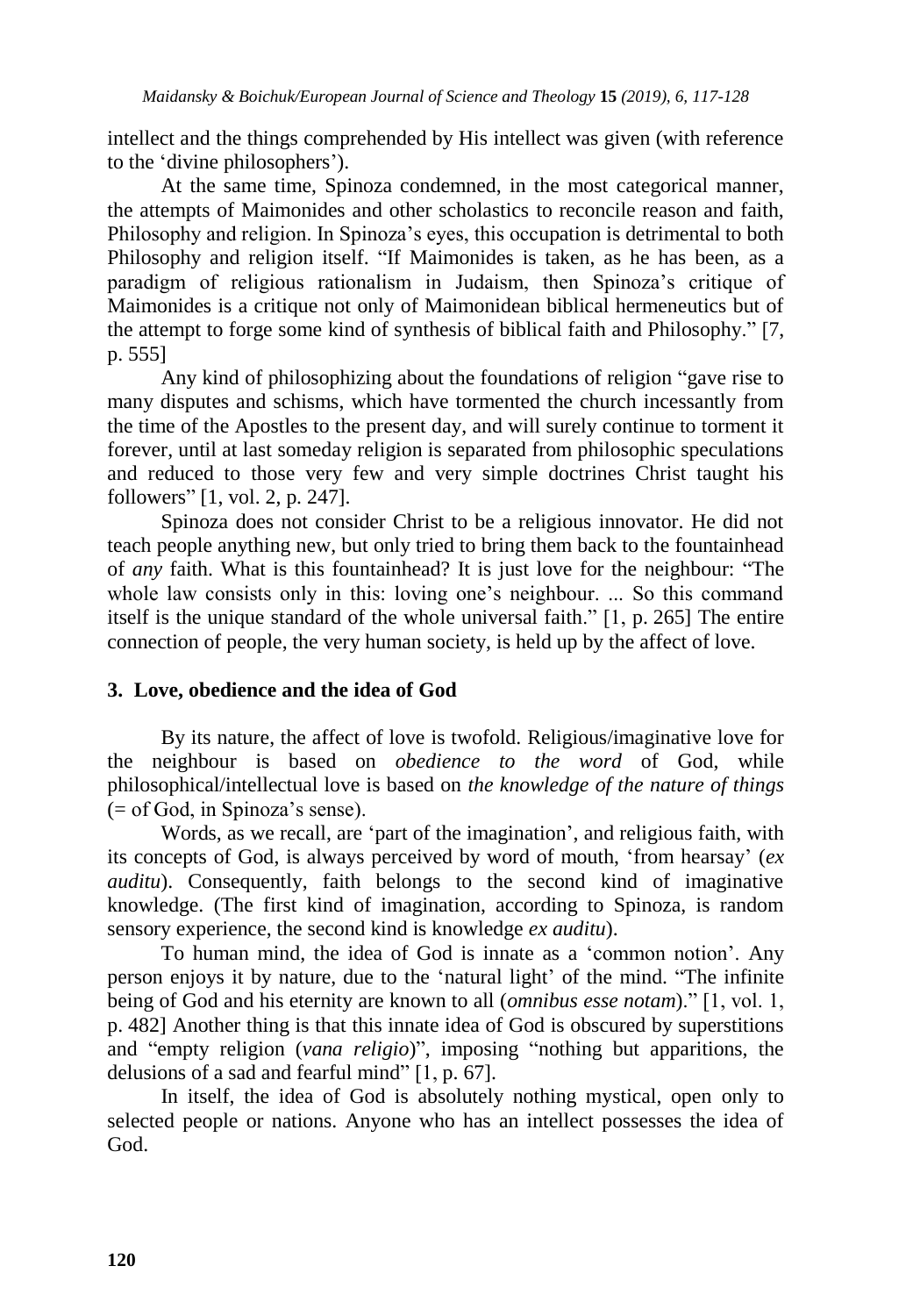intellect and the things comprehended by His intellect was given (with reference to the "divine philosophers").

At the same time, Spinoza condemned, in the most categorical manner, the attempts of Maimonides and other scholastics to reconcile reason and faith, Philosophy and religion. In Spinoza"s eyes, this occupation is detrimental to both Philosophy and religion itself. "If Maimonides is taken, as he has been, as a paradigm of religious rationalism in Judaism, then Spinoza's critique of Maimonides is a critique not only of Maimonidean biblical hermeneutics but of the attempt to forge some kind of synthesis of biblical faith and Philosophy." [7, p. 555]

Any kind of philosophizing about the foundations of religion "gave rise to many disputes and schisms, which have tormented the church incessantly from the time of the Apostles to the present day, and will surely continue to torment it forever, until at last someday religion is separated from philosophic speculations and reduced to those very few and very simple doctrines Christ taught his followers" [1, vol. 2, p. 247].

Spinoza does not consider Christ to be a religious innovator. He did not teach people anything new, but only tried to bring them back to the fountainhead of *any* faith. What is this fountainhead? It is just love for the neighbour: "The whole law consists only in this: loving one's neighbour. ... So this command itself is the unique standard of the whole universal faith." [1, p. 265] The entire connection of people, the very human society, is held up by the affect of love.

### **3. Love, obedience and the idea of God**

By its nature, the affect of love is twofold. Religious/imaginative love for the neighbour is based on *obedience to the word* of God, while philosophical/intellectual love is based on *the knowledge of the nature of things*  $(=$  of God, in Spinoza's sense).

Words, as we recall, are "part of the imagination", and religious faith, with its concepts of God, is always perceived by word of mouth, "from hearsay" (*ex auditu*). Consequently, faith belongs to the second kind of imaginative knowledge. (The first kind of imagination, according to Spinoza, is random sensory experience, the second kind is knowledge *ex auditu*).

To human mind, the idea of God is innate as a "common notion". Any person enjoys it by nature, due to the "natural light" of the mind. "The infinite being of God and his eternity are known to all (*omnibus esse notam*)." [1, vol. 1, p. 482] Another thing is that this innate idea of God is obscured by superstitions and "empty religion (*vana religio*)", imposing "nothing but apparitions, the delusions of a sad and fearful mind" [1, p. 67].

In itself, the idea of God is absolutely nothing mystical, open only to selected people or nations. Anyone who has an intellect possesses the idea of God.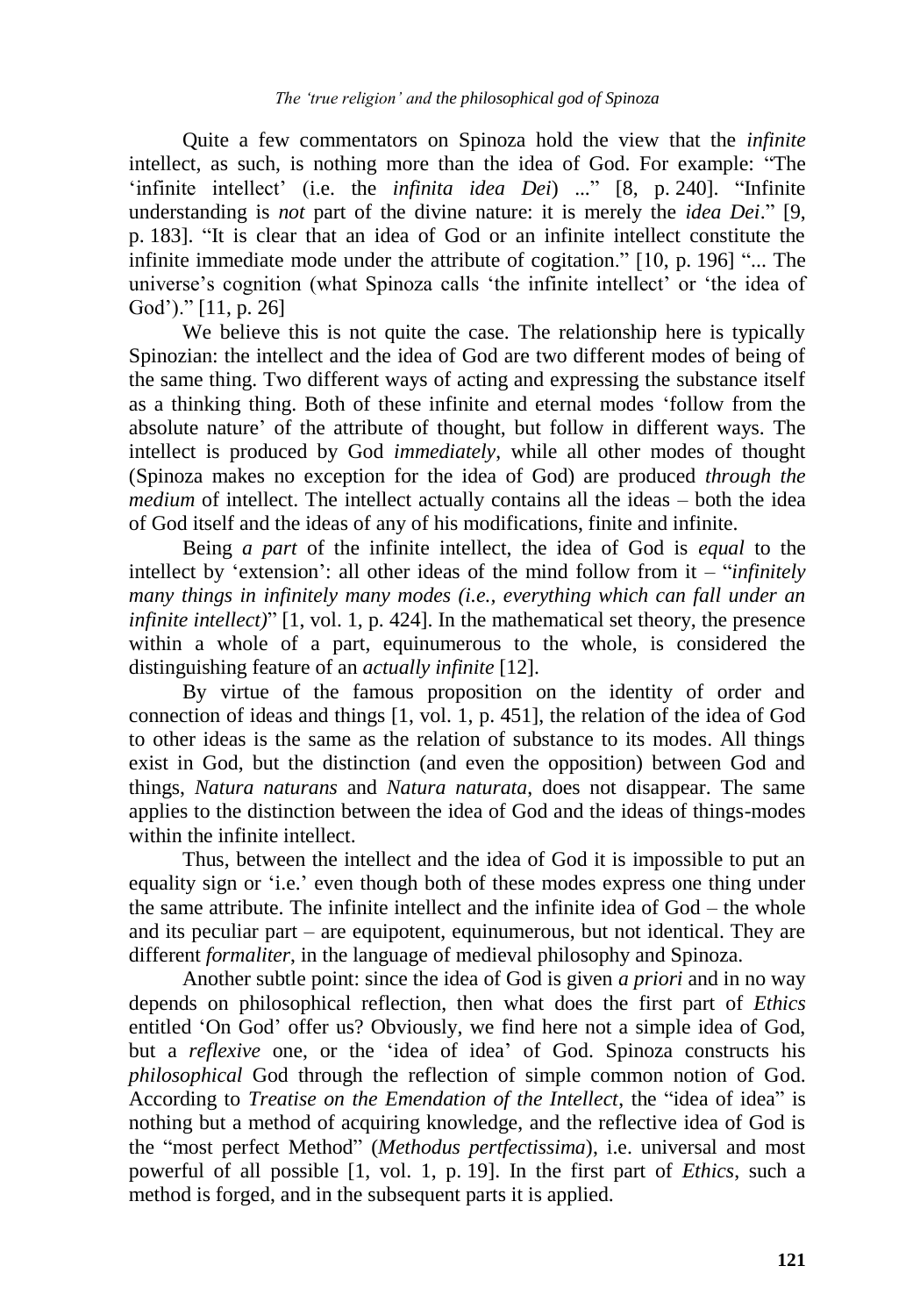Quite a few commentators on Spinoza hold the view that the *infinite* intellect, as such, is nothing more than the idea of God. For example: "The "infinite intellect" (i.e. the *infinita idea Dei*) ..." [8, p. 240]. "Infinite understanding is *not* part of the divine nature: it is merely the *idea Dei*." [9, p. 183]. "It is clear that an idea of God or an infinite intellect constitute the infinite immediate mode under the attribute of cogitation." [10, p. 196] "... The universe's cognition (what Spinoza calls 'the infinite intellect' or 'the idea of God')." [11, p. 26]

We believe this is not quite the case. The relationship here is typically Spinozian: the intellect and the idea of God are two different modes of being of the same thing. Two different ways of acting and expressing the substance itself as a thinking thing. Both of these infinite and eternal modes "follow from the absolute nature" of the attribute of thought, but follow in different ways. The intellect is produced by God *immediately*, while all other modes of thought (Spinoza makes no exception for the idea of God) are produced *through the medium* of intellect. The intellect actually contains all the ideas – both the idea of God itself and the ideas of any of his modifications, finite and infinite.

Being *a part* of the infinite intellect, the idea of God is *equal* to the intellect by "extension": all other ideas of the mind follow from it – "*infinitely many things in infinitely many modes (i.e., everything which can fall under an infinite intellect)*" [1, vol. 1, p. 424]. In the mathematical set theory, the presence within a whole of a part, equinumerous to the whole, is considered the distinguishing feature of an *actually infinite* [12].

By virtue of the famous proposition on the identity of order and connection of ideas and things [1, vol. 1, p. 451], the relation of the idea of God to other ideas is the same as the relation of substance to its modes. All things exist in God, but the distinction (and even the opposition) between God and things, *Natura naturans* and *Natura naturata*, does not disappear. The same applies to the distinction between the idea of God and the ideas of things-modes within the infinite intellect.

Thus, between the intellect and the idea of God it is impossible to put an equality sign or "i.e." even though both of these modes express one thing under the same attribute. The infinite intellect and the infinite idea of God – the whole and its peculiar part – are equipotent, equinumerous, but not identical. They are different *formaliter*, in the language of medieval philosophy and Spinoza.

Another subtle point: since the idea of God is given *a priori* and in no way depends on philosophical reflection, then what does the first part of *Ethics* entitled "On God" offer us? Obviously, we find here not a simple idea of God, but a *reflexive* one, or the "idea of idea" of God. Spinoza constructs his *philosophical* God through the reflection of simple common notion of God. According to *Treatise on the Emendation of the Intellect*, the "idea of idea" is nothing but a method of acquiring knowledge, and the reflective idea of God is the "most perfect Method" (*Methodus pertfectissima*), i.e. universal and most powerful of all possible [1, vol. 1, p. 19]. In the first part of *Ethics*, such a method is forged, and in the subsequent parts it is applied.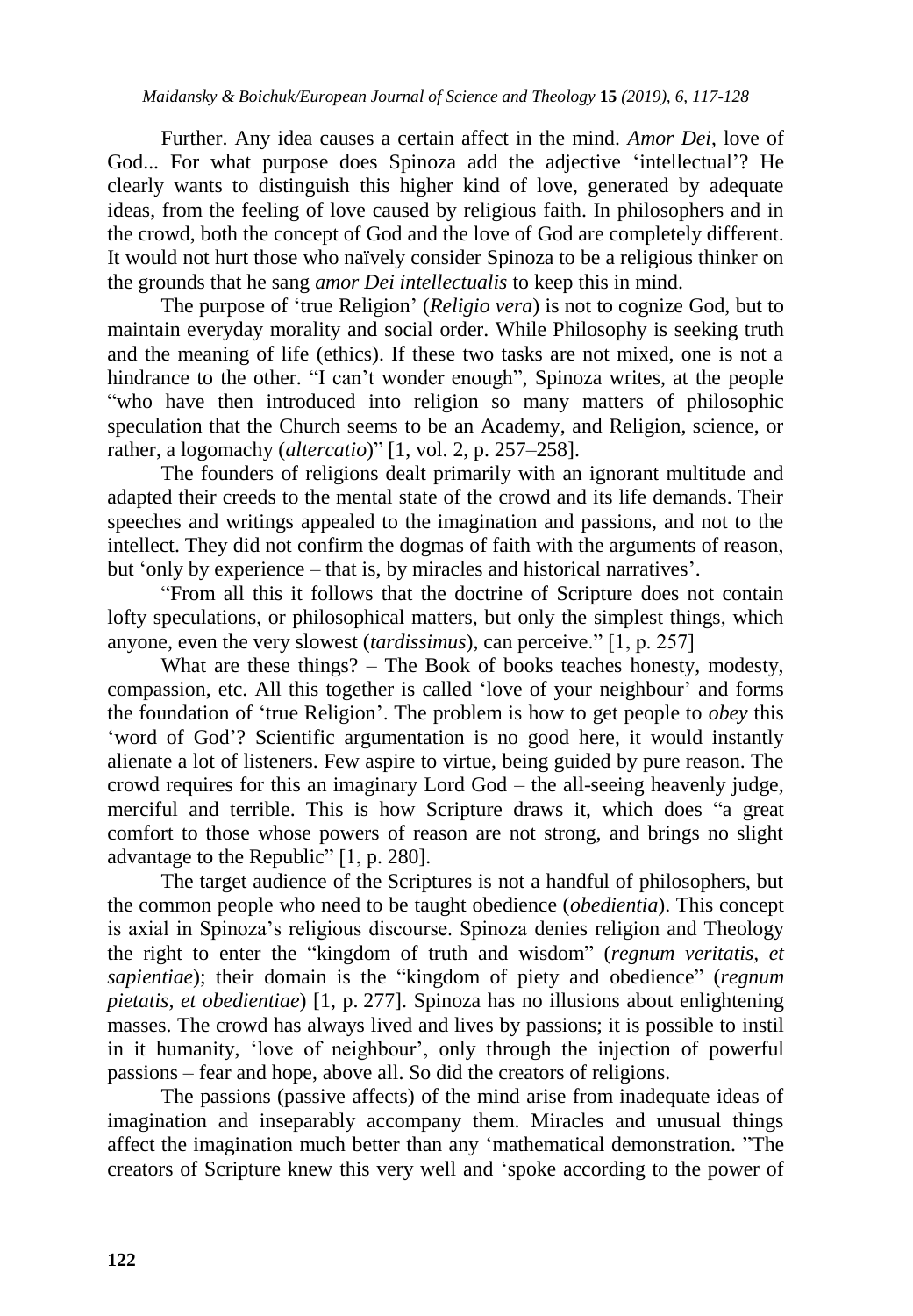Further. Any idea causes a certain affect in the mind. *Amor Dei*, love of God... For what purpose does Spinoza add the adjective "intellectual"? He clearly wants to distinguish this higher kind of love, generated by adequate ideas, from the feeling of love caused by religious faith. In philosophers and in the crowd, both the concept of God and the love of God are completely different. It would not hurt those who naïvely consider Spinoza to be a religious thinker on the grounds that he sang *amor Dei intellectualis* to keep this in mind.

The purpose of "true Religion" (*Religio vera*) is not to cognize God, but to maintain everyday morality and social order. While Philosophy is seeking truth and the meaning of life (ethics). If these two tasks are not mixed, one is not a hindrance to the other. "I can't wonder enough", Spinoza writes, at the people "who have then introduced into religion so many matters of philosophic speculation that the Church seems to be an Academy, and Religion, science, or rather, a logomachy (*altercatio*)" [1, vol. 2, p. 257–258].

The founders of religions dealt primarily with an ignorant multitude and adapted their creeds to the mental state of the crowd and its life demands. Their speeches and writings appealed to the imagination and passions, and not to the intellect. They did not confirm the dogmas of faith with the arguments of reason, but "only by experience – that is, by miracles and historical narratives".

"From all this it follows that the doctrine of Scripture does not contain lofty speculations, or philosophical matters, but only the simplest things, which anyone, even the very slowest (*tardissimus*), can perceive." [1, p. 257]

What are these things? – The Book of books teaches honesty, modesty, compassion, etc. All this together is called "love of your neighbour" and forms the foundation of "true Religion". The problem is how to get people to *obey* this 'word of God'? Scientific argumentation is no good here, it would instantly alienate a lot of listeners. Few aspire to virtue, being guided by pure reason. The crowd requires for this an imaginary Lord God – the all-seeing heavenly judge, merciful and terrible. This is how Scripture draws it, which does "a great comfort to those whose powers of reason are not strong, and brings no slight advantage to the Republic" [1, p. 280].

The target audience of the Scriptures is not a handful of philosophers, but the common people who need to be taught obedience (*obedientia*). This concept is axial in Spinoza"s religious discourse. Spinoza denies religion and Theology the right to enter the "kingdom of truth and wisdom" (*regnum veritatis, et sapientiae*); their domain is the "kingdom of piety and obedience" (*regnum pietatis, et obedientiae*) [1, p. 277]. Spinoza has no illusions about enlightening masses. The crowd has always lived and lives by passions; it is possible to instil in it humanity, "love of neighbour", only through the injection of powerful passions – fear and hope, above all. So did the creators of religions.

The passions (passive affects) of the mind arise from inadequate ideas of imagination and inseparably accompany them. Miracles and unusual things affect the imagination much better than any "mathematical demonstration. "The creators of Scripture knew this very well and "spoke according to the power of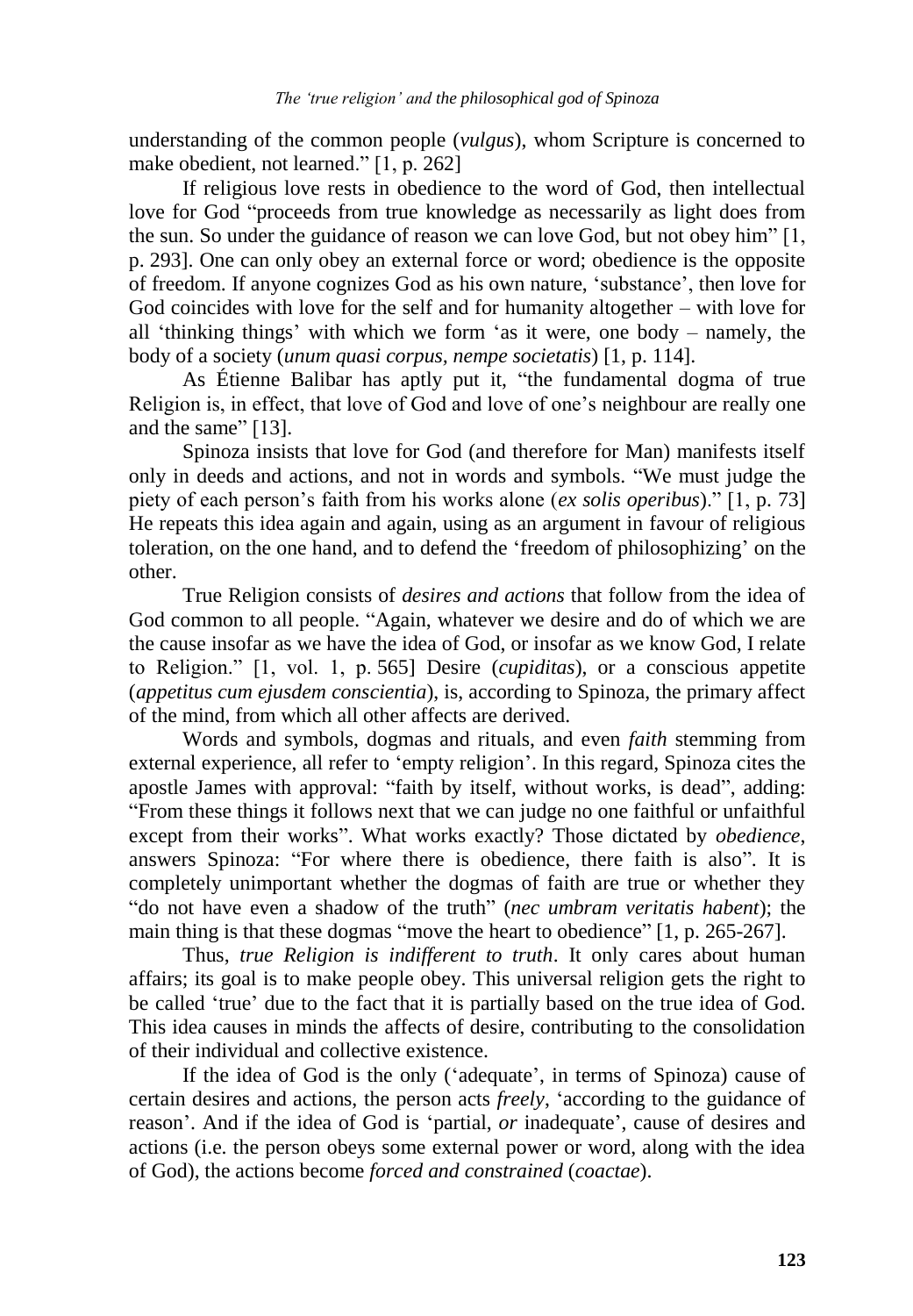understanding of the common people (*vulgus*), whom Scripture is concerned to make obedient, not learned." [1, p. 262]

If religious love rests in obedience to the word of God, then intellectual love for God "proceeds from true knowledge as necessarily as light does from the sun. So under the guidance of reason we can love God, but not obey him" [1, p. 293]. One can only obey an external force or word; obedience is the opposite of freedom. If anyone cognizes God as his own nature, "substance", then love for God coincides with love for the self and for humanity altogether – with love for all "thinking things" with which we form "as it were, one body – namely, the body of a society (*unum quasi corpus, nempe societatis*) [1, p. 114].

As Étienne Balibar has aptly put it, "the fundamental dogma of true Religion is, in effect, that love of God and love of one"s neighbour are really one and the same" [13].

Spinoza insists that love for God (and therefore for Man) manifests itself only in deeds and actions, and not in words and symbols. "We must judge the piety of each person"s faith from his works alone (*ex solis operibus*)." [1, p. 73] He repeats this idea again and again, using as an argument in favour of religious toleration, on the one hand, and to defend the "freedom of philosophizing" on the other.

True Religion consists of *desires and actions* that follow from the idea of God common to all people. "Again, whatever we desire and do of which we are the cause insofar as we have the idea of God, or insofar as we know God, I relate to Religion." [1, vol. 1, p. 565] Desire (*cupiditas*), or a conscious appetite (*appetitus cum ejusdem conscientia*), is, according to Spinoza, the primary affect of the mind, from which all other affects are derived.

Words and symbols, dogmas and rituals, and even *faith* stemming from external experience, all refer to "empty religion". In this regard, Spinoza cites the apostle James with approval: "faith by itself, without works, is dead", adding: "From these things it follows next that we can judge no one faithful or unfaithful except from their works". What works exactly? Those dictated by *obedience*, answers Spinoza: "For where there is obedience, there faith is also". It is completely unimportant whether the dogmas of faith are true or whether they "do not have even a shadow of the truth" (*nec umbram veritatis habent*); the main thing is that these dogmas "move the heart to obedience" [1, p. 265-267].

Thus, *true Religion is indifferent to truth*. It only cares about human affairs; its goal is to make people obey. This universal religion gets the right to be called "true" due to the fact that it is partially based on the true idea of God. This idea causes in minds the affects of desire, contributing to the consolidation of their individual and collective existence.

If the idea of God is the only ('adequate', in terms of Spinoza) cause of certain desires and actions, the person acts *freely*, "according to the guidance of reason'. And if the idea of God is 'partial, *or* inadequate', cause of desires and actions (i.e. the person obeys some external power or word, along with the idea of God), the actions become *forced and constrained* (*coactae*).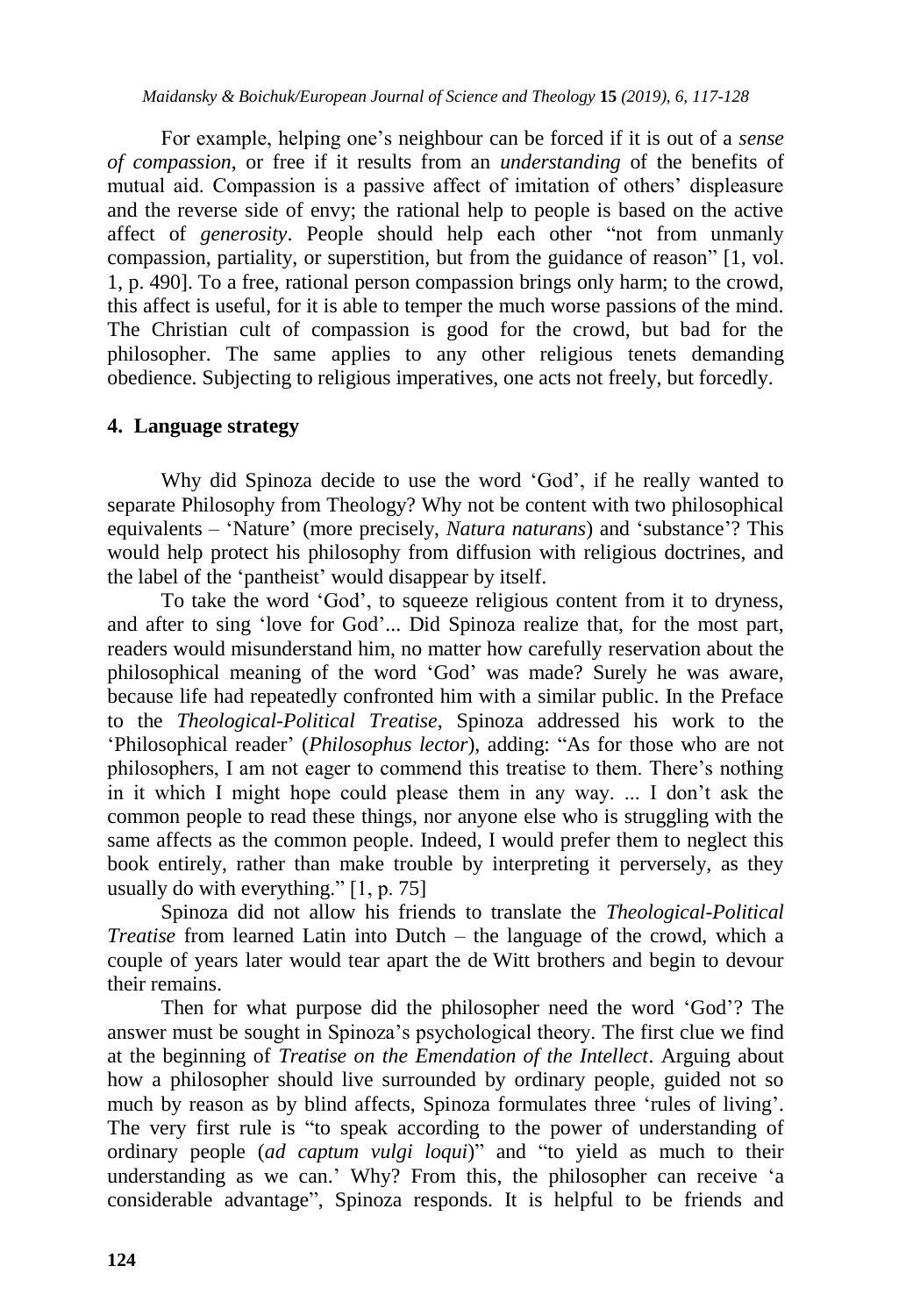For example, helping one"s neighbour can be forced if it is out of a *sense of compassion*, or free if it results from an *understanding* of the benefits of mutual aid. Compassion is a passive affect of imitation of others' displeasure and the reverse side of envy; the rational help to people is based on the active affect of *generosity*. People should help each other "not from unmanly compassion, partiality, or superstition, but from the guidance of reason" [1, vol. 1, p. 490]. To a free, rational person compassion brings only harm; to the crowd, this affect is useful, for it is able to temper the much worse passions of the mind. The Christian cult of compassion is good for the crowd, but bad for the philosopher. The same applies to any other religious tenets demanding obedience. Subjecting to religious imperatives, one acts not freely, but forcedly.

#### **4. Language strategy**

Why did Spinoza decide to use the word 'God', if he really wanted to separate Philosophy from Theology? Why not be content with two philosophical equivalents – "Nature" (more precisely, *Natura naturans*) and "substance"? This would help protect his philosophy from diffusion with religious doctrines, and the label of the "pantheist" would disappear by itself.

To take the word "God", to squeeze religious content from it to dryness, and after to sing "love for God"... Did Spinoza realize that, for the most part, readers would misunderstand him, no matter how carefully reservation about the philosophical meaning of the word "God" was made? Surely he was aware, because life had repeatedly confronted him with a similar public. In the Preface to the *Theological-Political Treatise*, Spinoza addressed his work to the "Philosophical reader" (*Philosophus lector*), adding: "As for those who are not philosophers, I am not eager to commend this treatise to them. There"s nothing in it which I might hope could please them in any way. ... I don"t ask the common people to read these things, nor anyone else who is struggling with the same affects as the common people. Indeed, I would prefer them to neglect this book entirely, rather than make trouble by interpreting it perversely, as they usually do with everything." [1, p. 75]

Spinoza did not allow his friends to translate the *Theological-Political Treatise* from learned Latin into Dutch – the language of the crowd, which a couple of years later would tear apart the de Witt brothers and begin to devour their remains.

Then for what purpose did the philosopher need the word "God"? The answer must be sought in Spinoza"s psychological theory. The first clue we find at the beginning of *Treatise on the Emendation of the Intellect*. Arguing about how a philosopher should live surrounded by ordinary people, guided not so much by reason as by blind affects, Spinoza formulates three "rules of living". The very first rule is "to speak according to the power of understanding of ordinary people (*ad captum vulgi loqui*)" and "to yield as much to their understanding as we can." Why? From this, the philosopher can receive "a considerable advantage", Spinoza responds. It is helpful to be friends and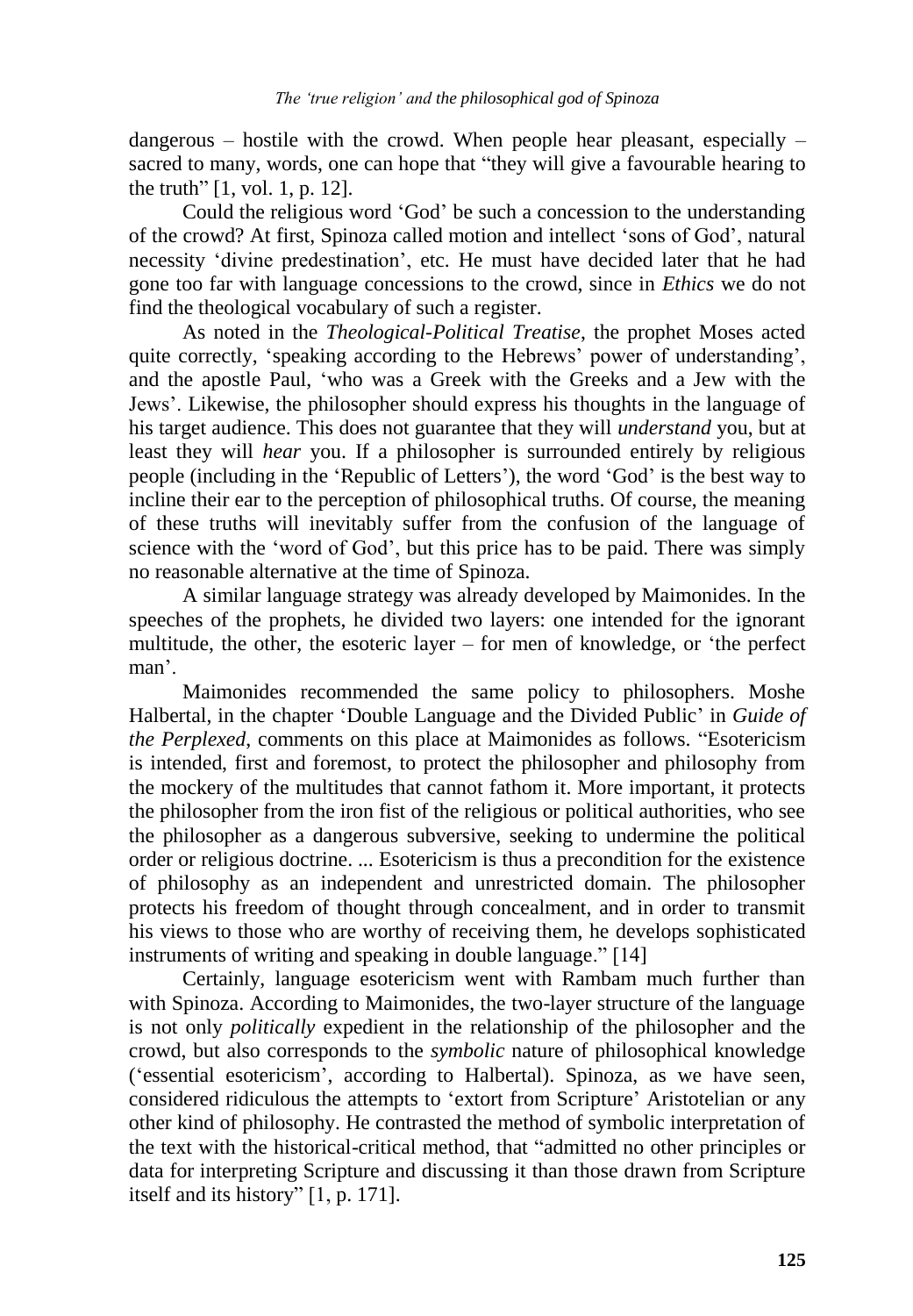dangerous – hostile with the crowd. When people hear pleasant, especially – sacred to many, words, one can hope that "they will give a favourable hearing to the truth" [1, vol. 1, p. 12].

Could the religious word "God" be such a concession to the understanding of the crowd? At first, Spinoza called motion and intellect "sons of God", natural necessity "divine predestination", etc. He must have decided later that he had gone too far with language concessions to the crowd, since in *Ethics* we do not find the theological vocabulary of such a register.

As noted in the *Theological-Political Treatise*, the prophet Moses acted quite correctly, 'speaking according to the Hebrews' power of understanding', and the apostle Paul, "who was a Greek with the Greeks and a Jew with the Jews". Likewise, the philosopher should express his thoughts in the language of his target audience. This does not guarantee that they will *understand* you, but at least they will *hear* you. If a philosopher is surrounded entirely by religious people (including in the "Republic of Letters"), the word "God" is the best way to incline their ear to the perception of philosophical truths. Of course, the meaning of these truths will inevitably suffer from the confusion of the language of science with the "word of God", but this price has to be paid. There was simply no reasonable alternative at the time of Spinoza.

A similar language strategy was already developed by Maimonides. In the speeches of the prophets, he divided two layers: one intended for the ignorant multitude, the other, the esoteric layer – for men of knowledge, or "the perfect man'.

Maimonides recommended the same policy to philosophers. Moshe Halbertal, in the chapter "Double Language and the Divided Public" in *Guide of the Perplexed*, comments on this place at Maimonides as follows. "Esotericism is intended, first and foremost, to protect the philosopher and philosophy from the mockery of the multitudes that cannot fathom it. More important, it protects the philosopher from the iron fist of the religious or political authorities, who see the philosopher as a dangerous subversive, seeking to undermine the political order or religious doctrine. ... Esotericism is thus a precondition for the existence of philosophy as an independent and unrestricted domain. The philosopher protects his freedom of thought through concealment, and in order to transmit his views to those who are worthy of receiving them, he develops sophisticated instruments of writing and speaking in double language." [14]

Certainly, language esotericism went with Rambam much further than with Spinoza. According to Maimonides, the two-layer structure of the language is not only *politically* expedient in the relationship of the philosopher and the crowd, but also corresponds to the *symbolic* nature of philosophical knowledge ("essential esotericism", according to Halbertal). Spinoza, as we have seen, considered ridiculous the attempts to "extort from Scripture" Aristotelian or any other kind of philosophy. He contrasted the method of symbolic interpretation of the text with the historical-critical method, that "admitted no other principles or data for interpreting Scripture and discussing it than those drawn from Scripture itself and its history" [1, p. 171].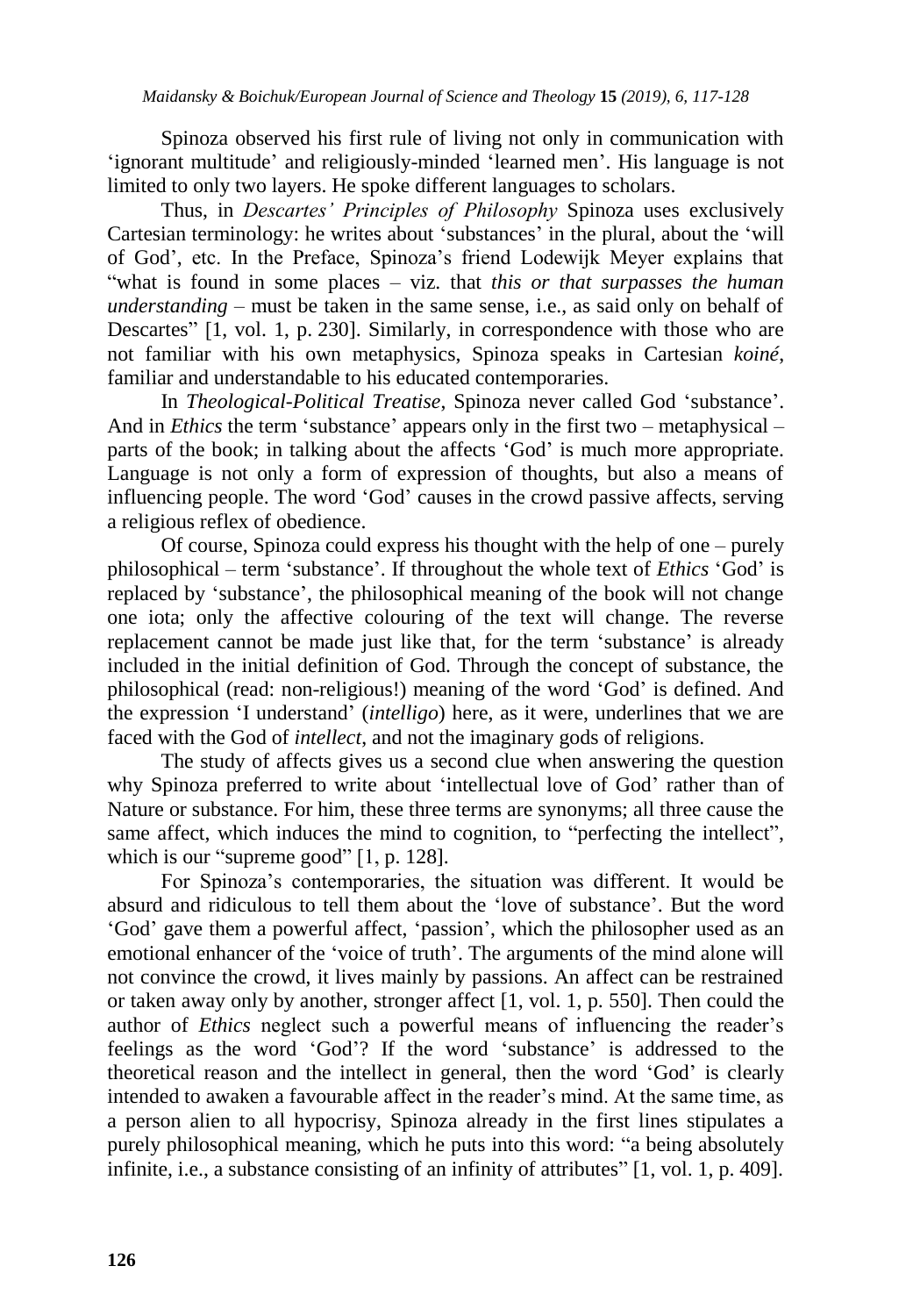Spinoza observed his first rule of living not only in communication with "ignorant multitude" and religiously-minded "learned men". His language is not limited to only two layers. He spoke different languages to scholars.

Thus, in *Descartes' Principles of Philosophy* Spinoza uses exclusively Cartesian terminology: he writes about 'substances' in the plural, about the 'will of God", etc. In the Preface, Spinoza"s friend Lodewijk Meyer explains that "what is found in some places – viz. that *this or that surpasses the human understanding* – must be taken in the same sense, i.e., as said only on behalf of Descartes" [1, vol. 1, p. 230]. Similarly, in correspondence with those who are not familiar with his own metaphysics, Spinoza speaks in Cartesian *koiné*, familiar and understandable to his educated contemporaries.

In *Theological-Political Treatise*, Spinoza never called God "substance". And in *Ethics* the term 'substance' appears only in the first two – metaphysical – parts of the book; in talking about the affects "God" is much more appropriate. Language is not only a form of expression of thoughts, but also a means of influencing people. The word "God" causes in the crowd passive affects, serving a religious reflex of obedience.

Of course, Spinoza could express his thought with the help of one – purely philosophical – term "substance". If throughout the whole text of *Ethics* "God" is replaced by "substance", the philosophical meaning of the book will not change one iota; only the affective colouring of the text will change. The reverse replacement cannot be made just like that, for the term "substance" is already included in the initial definition of God. Through the concept of substance, the philosophical (read: non-religious!) meaning of the word "God" is defined. And the expression "I understand" (*intelligo*) here, as it were, underlines that we are faced with the God of *intellect*, and not the imaginary gods of religions.

The study of affects gives us a second clue when answering the question why Spinoza preferred to write about 'intellectual love of God' rather than of Nature or substance. For him, these three terms are synonyms; all three cause the same affect, which induces the mind to cognition, to "perfecting the intellect", which is our "supreme good" [1, p. 128].

For Spinoza"s contemporaries, the situation was different. It would be absurd and ridiculous to tell them about the "love of substance". But the word 'God' gave them a powerful affect, 'passion', which the philosopher used as an emotional enhancer of the 'voice of truth'. The arguments of the mind alone will not convince the crowd, it lives mainly by passions. An affect can be restrained or taken away only by another, stronger affect [1, vol. 1, p. 550]. Then could the author of *Ethics* neglect such a powerful means of influencing the reader"s feelings as the word "God"? If the word "substance" is addressed to the theoretical reason and the intellect in general, then the word "God" is clearly intended to awaken a favourable affect in the reader"s mind. At the same time, as a person alien to all hypocrisy, Spinoza already in the first lines stipulates a purely philosophical meaning, which he puts into this word: "a being absolutely infinite, i.e., a substance consisting of an infinity of attributes" [1, vol. 1, p. 409].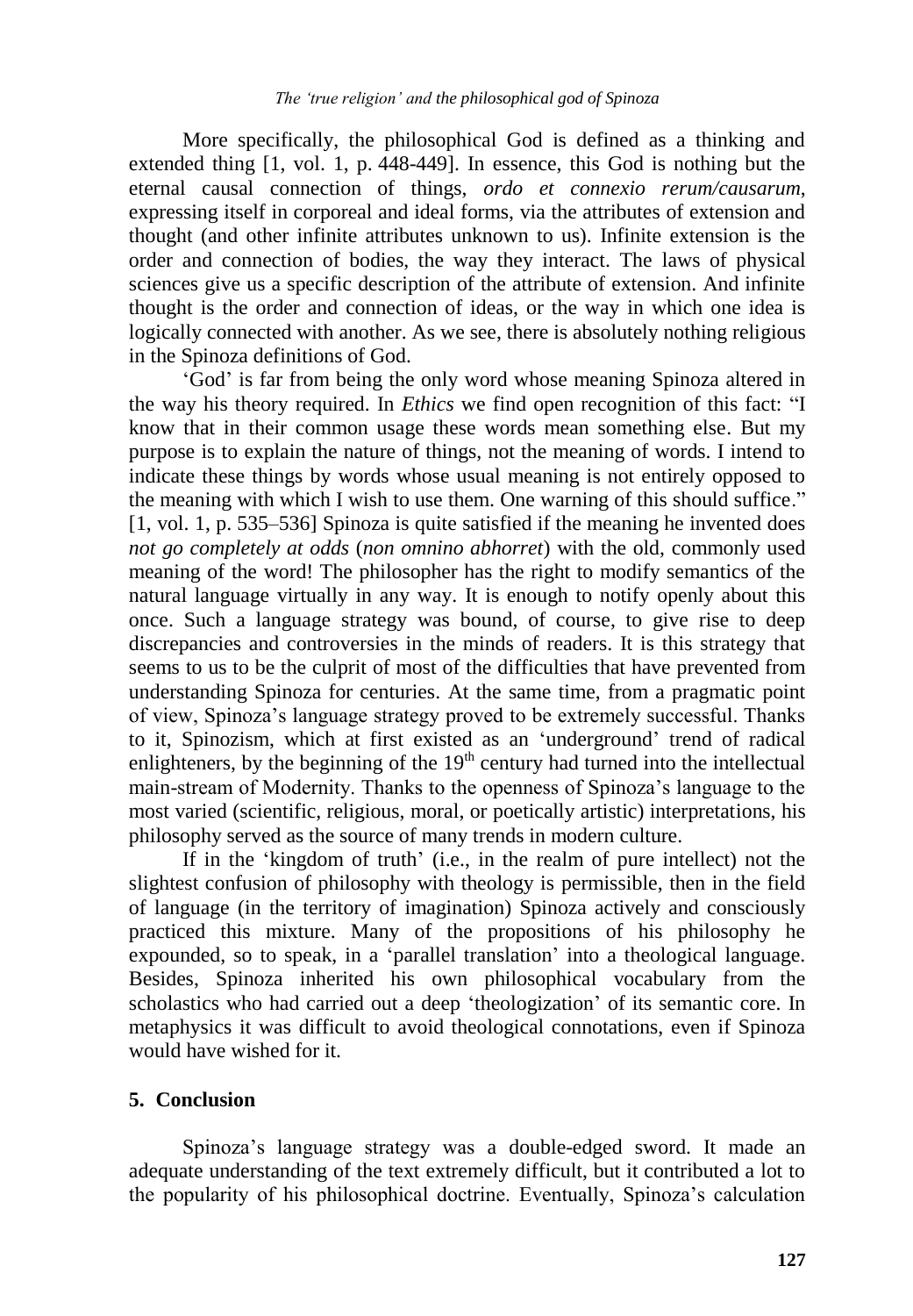More specifically, the philosophical God is defined as a thinking and extended thing [1, vol. 1, p. 448-449]. In essence, this God is nothing but the eternal causal connection of things, *ordo et connexio rerum/causarum*, expressing itself in corporeal and ideal forms, via the attributes of extension and thought (and other infinite attributes unknown to us). Infinite extension is the order and connection of bodies, the way they interact. The laws of physical sciences give us a specific description of the attribute of extension. And infinite thought is the order and connection of ideas, or the way in which one idea is logically connected with another. As we see, there is absolutely nothing religious in the Spinoza definitions of God.

"God" is far from being the only word whose meaning Spinoza altered in the way his theory required. In *Ethics* we find open recognition of this fact: "I know that in their common usage these words mean something else. But my purpose is to explain the nature of things, not the meaning of words. I intend to indicate these things by words whose usual meaning is not entirely opposed to the meaning with which I wish to use them. One warning of this should suffice." [1, vol. 1, p. 535–536] Spinoza is quite satisfied if the meaning he invented does *not go completely at odds* (*non omnino abhorret*) with the old, commonly used meaning of the word! The philosopher has the right to modify semantics of the natural language virtually in any way. It is enough to notify openly about this once. Such a language strategy was bound, of course, to give rise to deep discrepancies and controversies in the minds of readers. It is this strategy that seems to us to be the culprit of most of the difficulties that have prevented from understanding Spinoza for centuries. At the same time, from a pragmatic point of view, Spinoza"s language strategy proved to be extremely successful. Thanks to it, Spinozism, which at first existed as an "underground" trend of radical enlighteners, by the beginning of the  $19<sup>th</sup>$  century had turned into the intellectual main-stream of Modernity. Thanks to the openness of Spinoza"s language to the most varied (scientific, religious, moral, or poetically artistic) interpretations, his philosophy served as the source of many trends in modern culture.

If in the 'kingdom of truth' (i.e., in the realm of pure intellect) not the slightest confusion of philosophy with theology is permissible, then in the field of language (in the territory of imagination) Spinoza actively and consciously practiced this mixture. Many of the propositions of his philosophy he expounded, so to speak, in a "parallel translation" into a theological language. Besides, Spinoza inherited his own philosophical vocabulary from the scholastics who had carried out a deep "theologization" of its semantic core. In metaphysics it was difficult to avoid theological connotations, even if Spinoza would have wished for it.

#### **5. Conclusion**

Spinoza"s language strategy was a double-edged sword. It made an adequate understanding of the text extremely difficult, but it contributed a lot to the popularity of his philosophical doctrine. Eventually, Spinoza"s calculation